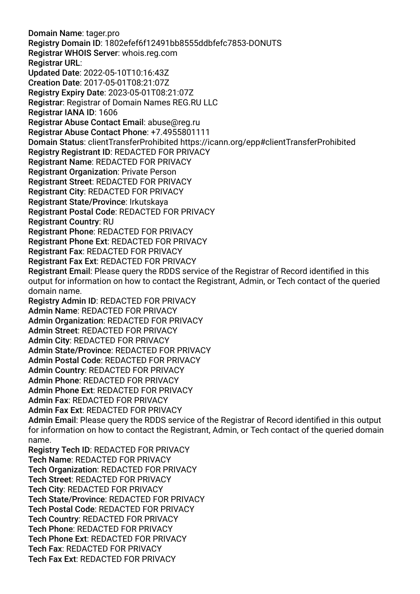Domain Name: tager.pro Registry Domain ID: 1802efef6f12491bb8555ddbfefc7853-DONUTS Registrar WHOIS Server: whois.reg.com Registrar URL: Updated Date: 2022-05-10T10:16:43Z Creation Date: 2017-05-01T08:21:07Z Registry Expiry Date: 2023-05-01T08:21:07Z Registrar: Registrar of Domain Names REG.RU LLC Registrar IANA ID: 1606 Registrar Abuse Contact Email: abuse@reg.ru Registrar Abuse Contact Phone: +7.4955801111 Domain Status: clientTransferProhibited https://icann.org/epp#clientTransferProhibited Registry Registrant ID: REDACTED FOR PRIVACY Registrant Name: REDACTED FOR PRIVACY Registrant Organization: Private Person Registrant Street: REDACTED FOR PRIVACY Registrant City: REDACTED FOR PRIVACY Registrant State/Province: Irkutskaya Registrant Postal Code: REDACTED FOR PRIVACY Registrant Country: RU Registrant Phone: REDACTED FOR PRIVACY Registrant Phone Ext: REDACTED FOR PRIVACY Registrant Fax: REDACTED FOR PRIVACY Registrant Fax Ext: REDACTED FOR PRIVACY Registrant Email: Please query the RDDS service of the Registrar of Record identifed in this output for information on how to contact the Registrant, Admin, or Tech contact of the queried domain name. Registry Admin ID: REDACTED FOR PRIVACY Admin Name: REDACTED FOR PRIVACY Admin Organization: REDACTED FOR PRIVACY Admin Street: REDACTED FOR PRIVACY Admin City: REDACTED FOR PRIVACY Admin State/Province: REDACTED FOR PRIVACY Admin Postal Code: REDACTED FOR PRIVACY Admin Country: REDACTED FOR PRIVACY Admin Phone: REDACTED FOR PRIVACY Admin Phone Ext: REDACTED FOR PRIVACY Admin Fax: REDACTED FOR PRIVACY Admin Fax Ext: REDACTED FOR PRIVACY Admin Email: Please query the RDDS service of the Registrar of Record identifed in this output for information on how to contact the Registrant, Admin, or Tech contact of the queried domain name. Registry Tech ID: REDACTED FOR PRIVACY Tech Name: REDACTED FOR PRIVACY Tech Organization: REDACTED FOR PRIVACY Tech Street: REDACTED FOR PRIVACY Tech City: REDACTED FOR PRIVACY Tech State/Province: REDACTED FOR PRIVACY Tech Postal Code: REDACTED FOR PRIVACY Tech Country: REDACTED FOR PRIVACY Tech Phone: REDACTED FOR PRIVACY Tech Phone Ext: REDACTED FOR PRIVACY Tech Fax: REDACTED FOR PRIVACY Tech Fax Ext: REDACTED FOR PRIVACY